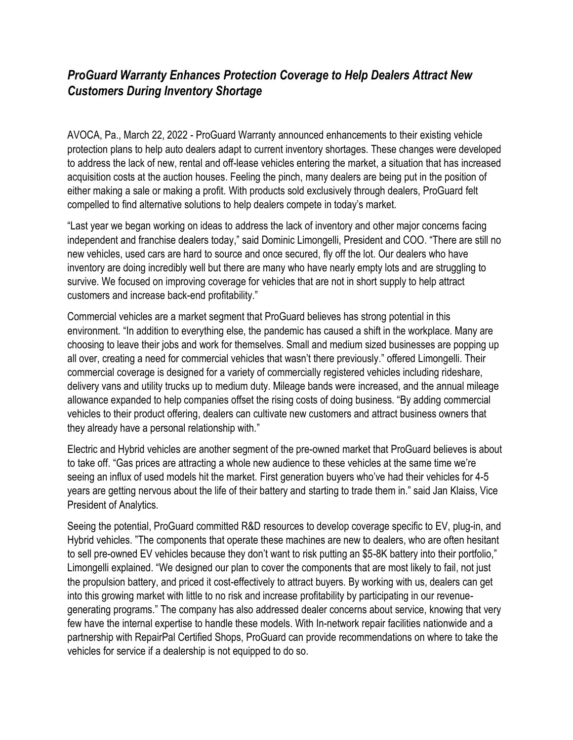## *ProGuard Warranty Enhances Protection Coverage to Help Dealers Attract New Customers During Inventory Shortage*

AVOCA, Pa., March 22, 2022 - ProGuard Warranty announced enhancements to their existing vehicle protection plans to help auto dealers adapt to current inventory shortages. These changes were developed to address the lack of new, rental and off-lease vehicles entering the market, a situation that has increased acquisition costs at the auction houses. Feeling the pinch, many dealers are being put in the position of either making a sale or making a profit. With products sold exclusively through dealers, ProGuard felt compelled to find alternative solutions to help dealers compete in today's market.

"Last year we began working on ideas to address the lack of inventory and other major concerns facing independent and franchise dealers today," said Dominic Limongelli, President and COO. "There are still no new vehicles, used cars are hard to source and once secured, fly off the lot. Our dealers who have inventory are doing incredibly well but there are many who have nearly empty lots and are struggling to survive. We focused on improving coverage for vehicles that are not in short supply to help attract customers and increase back-end profitability."

Commercial vehicles are a market segment that ProGuard believes has strong potential in this environment. "In addition to everything else, the pandemic has caused a shift in the workplace. Many are choosing to leave their jobs and work for themselves. Small and medium sized businesses are popping up all over, creating a need for commercial vehicles that wasn't there previously." offered Limongelli. Their commercial coverage is designed for a variety of commercially registered vehicles including rideshare, delivery vans and utility trucks up to medium duty. Mileage bands were increased, and the annual mileage allowance expanded to help companies offset the rising costs of doing business. "By adding commercial vehicles to their product offering, dealers can cultivate new customers and attract business owners that they already have a personal relationship with."

Electric and Hybrid vehicles are another segment of the pre-owned market that ProGuard believes is about to take off. "Gas prices are attracting a whole new audience to these vehicles at the same time we're seeing an influx of used models hit the market. First generation buyers who've had their vehicles for 4-5 years are getting nervous about the life of their battery and starting to trade them in." said Jan Klaiss, Vice President of Analytics.

Seeing the potential, ProGuard committed R&D resources to develop coverage specific to EV, plug-in, and Hybrid vehicles. "The components that operate these machines are new to dealers, who are often hesitant to sell pre-owned EV vehicles because they don't want to risk putting an \$5-8K battery into their portfolio," Limongelli explained. "We designed our plan to cover the components that are most likely to fail, not just the propulsion battery, and priced it cost-effectively to attract buyers. By working with us, dealers can get into this growing market with little to no risk and increase profitability by participating in our revenuegenerating programs." The company has also addressed dealer concerns about service, knowing that very few have the internal expertise to handle these models. With In-network repair facilities nationwide and a partnership with RepairPal Certified Shops, ProGuard can provide recommendations on where to take the vehicles for service if a dealership is not equipped to do so.